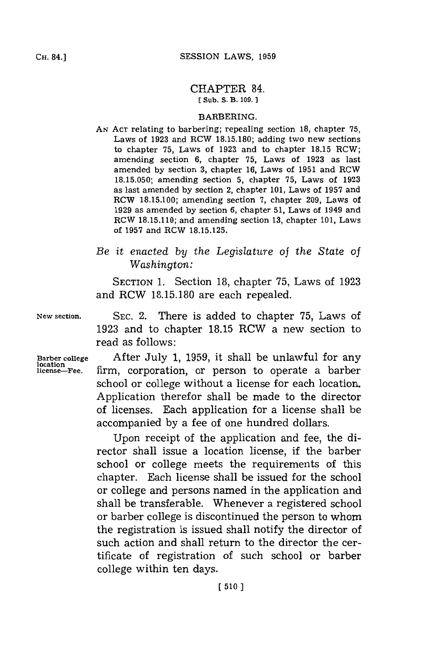## CHAPTER 84. **[ Sub. S. B. 109.**

## BARBERING.

*AN* **ACT** relating to barbering; repealing section **18,** chapter **75,** Laws of **1923** and RCW **18.15.180;** adding two new sections to chapter **75,** Laws of **1923** and to chapter **18.15** RCW; amending section **6,** chapter **75,** Laws of **1923** as last amended **by** section **3,** chapter **16,** Laws of **1951** and RCW **18.15.050;** amending section **5,** chapter **75,** Laws of **<sup>1923</sup>** as last amended **by** section 2, chapter **101,** Laws of **1957** and ROW **18.15.100;** amending section **7,** chapter **209,** Laws of **1929** as amended **by** section **6,** chapter **51,** Laws of 1949 and RCW **18.15.110;** and amending section **13,** chapter **101,** Laws of **1957** and RCW **18.15.125.**

## *Be it enacted by the Legislature of the State of Washington:*

SECTION **1.** Section **18,** chapter **75,** Laws of **1923** and RCW **18.15.180** are each repealed.

**New section.**

**SEC.** 2. There is added to chapter **75,** Laws of **1923** and to chapter **18.15** RCW a new section to read as follows:

**Barber college location license!-Fee.**

After July **1, 1959,** it shall be unlawful for any firm, corporation, or person to operate a barber school or college without a license for each location. Application therefor shall be made to the director of licenses. Each application for a license shall be accompanied **by** a fee of one hundred dollars.

Upon receipt of the application and fee, the director shall issue a location license, if the barber school or college meets the requirements of this chapter. Each license shall be issued for the school or college and persons named in the application and shall be transferable. Whenever a registered school or barber college is discontinued the person to whom the registration is issued shall notify the director of such action and shall return to the director the certificate of registration of such school or barber college within ten days.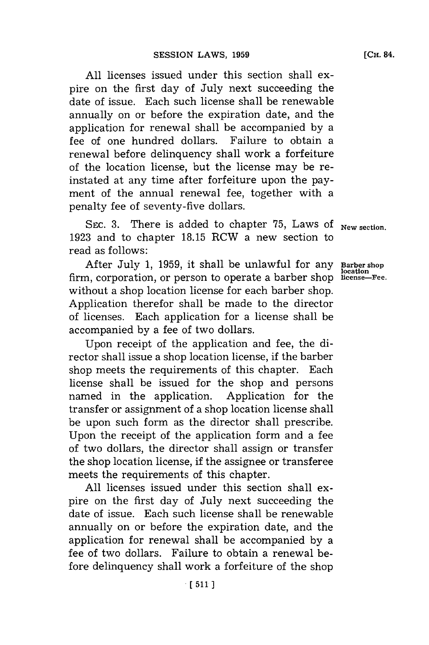**All** licenses issued under this section shall expire on the first day of July next succeeding the date of issue. Each such license shall be renewable annually on or before the expiration date, and the application for renewal shall be accompanied **by** a fee of one hundred dollars. Failure to obtain a renewal before delinquency shall work a forfeiture of the location license, but the license may be reinstated at any time after forfeiture upon the payment of the annual renewal fee, together with a penalty fee of seventy-five dollars.

**SEC. 3.** There is added to chapter **75,** Laws of **New section. 1923** and to chapter **18.15** RCW a new section to read as follows:

**Af** ter July **1, 1959,** it shall be unlawful for any **Barber shop** firm, corporation, or person to operate a barber shop license-Fee. without a shop location license for each barber shop. Application therefor shall be made to the director of licenses. Each application for a license shall be accompanied **by** a fee of two dollars.

Upon receipt of the application and fee, the director shall issue a shop location license, if the barber shop meets the requirements of this chapter. Each license shall be issued for the shop and persons named in the application. Application for the transfer or assignment of a shop location license shall be upon such form as the director shall prescribe. Upon the receipt of the application form and a fee of two dollars, the director shall assign or transfer the shop location license, if the assignee or transferee meets the requirements of this chapter.

**All** licenses issued under this section shall expire on the first day of July next succeeding the date of issue. Each such license shall be renewable annually on or before the expiration date, and the application for renewal shall be accompanied **by** a fee of two dollars. Failure to obtain a renewal before delinquency shall work a forfeiture of the shop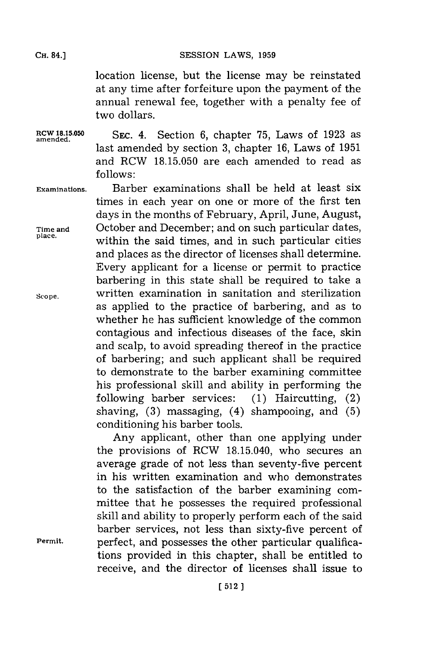location license, but the license may be reinstated at any time after forfeiture upon the payment of the annual renewal fee, together with a penalty fee of two dollars.

RCW **18.15.050** SEc. 4. Section **6,** chapter **75,** Laws of **1923** as **amended.** last amended **by** section **3,** chapter **16,** Laws of **1951** and RCW **18.15.050** are each amended to read as **follows:**

**Examinations.** Barber examinations shall be held at least six times in each year on one or more of the first ten days in the months of February, April, June, August, Time and **October and December; and on such particular dates,** within the said times, and in such particular cities and places as the director of licenses shall determine. Every applicant for a license or permit to practice barbering in this state shall be required to take a **Scope.** written examination in sanitation and sterilization as applied to the practice of barbering, and as to whether he has sufficient knowledge of the common contagious and infectious diseases of the face, skin and scalp, to avoid spreading thereof in the practice of barbering; and such applicant shall be required to demonstrate to the barber examining committee his professional skill and ability in performing the following barber services: **(1)** Haircutting, (2) shaving, **(3)** massaging, (4) shampooing, and **(5)** conditioning his barber tools.

Any applicant, other than one applying under the provisions of RCW 18.15.040, who secures an average grade of not less than seventy-five percent in his written examination and who demonstrates to the satisfaction of the barber examining committee that he possesses the required professional skill and ability to properly perform each of the said barber services, not less than sixty-five percent of **Permit,** perfect, and possesses the other particular qualifications provided in this chapter, shall be entitled to receive, and the director of licenses shall issue to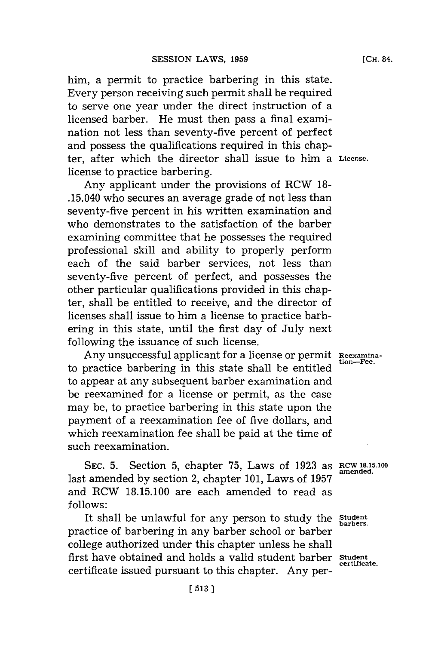him, a permit to practice barbering in this state. Every person receiving such permit shall be required to serve one year under the direct instruction of a licensed barber. He must then pass a final examination not less than seventy-five percent of perfect and possess the qualifications required in this chapter, after which the director shall issue to him a **License.** license to practice barbering.

Any applicant under the provisions of RCW **18-** .15.040 who secures an average grade of not less than seventy-five percent in his written examination and who demonstrates to the satisfaction of the barber examining committee that he possesses the required professional skill and ability to properly perform each of the said barber services, not less than seventy-five percent of perfect, and possesses the other particular qualifications provided in this chapter, shall be entitled to receive, and the director of licenses shall issue to him a license to practice barbering in this state, until the first day of July next following the issuance of such license.

Any unsuccessful applicant for a license or permit **Reexamina**to practice barbering in this state shall be entitled to appear at any subsequent barber examination and be reexamined for a license or permit, as the case may be, to practice barbering in this state upon the payment of a reexamination fee of five dollars, and which reexamination fee shall be paid at the time of such reexamination.

SEC. 5. Section 5, chapter 75, Laws of 1923 as RCW 18.15.100 **amended**. last amended **by** section 2, chapter **101,** Laws of **1957** and RCW **18.15.100** are each amended to read as **follows:**

It shall be unlawful **for** any person to study the **Student barbers.** practice of barbering in any barber school or barber college authorized under this chapter unless he shall first have obtained and holds a valid student barber **Student** certificate issued pursuant to this chapter. Any per-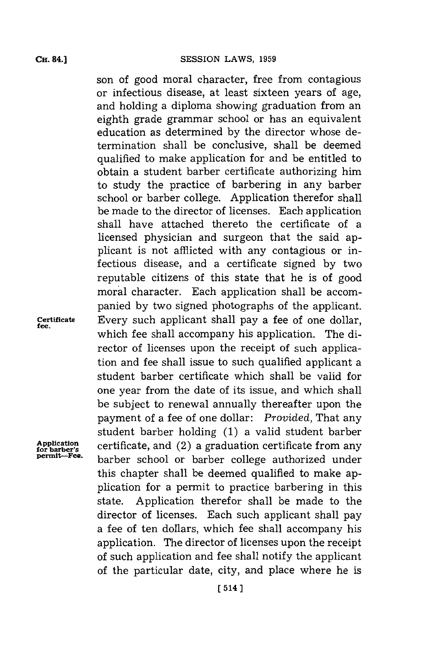son of good moral character, free from contagious or infectious disease, at least sixteen years of age, and holding a diploma showing graduation from an eighth grade grammar school or has an equivalent education as determined **by** the director whose determination shall be conclusive, shall be deemed qualified to make application for and be entitled to obtain a student barber certificate authorizing him to study the practice of barbering in any barber school or barber college. Application therefor shall be made to the director of licenses. Each application shall have attached thereto the certificate of a licensed physician and surgeon that the said applicant is not afflicted with any contagious or in**f** ectious disease, and a certificate signed **by** two reputable citizens of this state that he is of good moral character. Each application shall be accompanied **by** two signed photographs of the applicant. **Certificate** Every such applicant shall pay a fee of one dollar, which fee shall accompany his application. The director of licenses upon the receipt of such application and fee shall issue to such qualified applicant a student barber certificate which shall be valid for one year from the date of its issue, and which shall be subject to renewal annually thereafter upon the payment of a fee of one dollar: *Provided,* That any student barber holding **(1)** a valid student barber Application certificate, and (2) a graduation certificate from an Application certificate, and (2) a graduation certificate from any<br>
permit-Fee. barber school or barber college authorized under this chapter shall be deemed qualified to make application for a permit to practice barbering in this state. Application therefor shall be made to the director of licenses. Each such applicant shall pay a fee of ten dollars, which fee shall accompany his application. The director of licenses upon the receipt of such application and fee shall notify the applicant of the particular date, city, and place where he is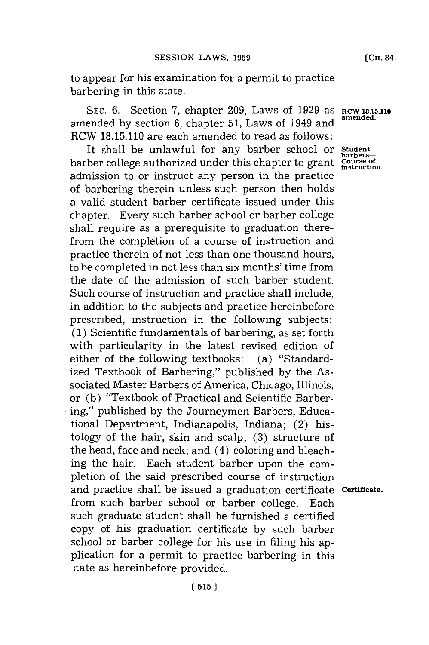to appear for his examination **for** a permit to practice barbering in this state.

SEC. 6. Section 7, chapter 209, Laws of 1929 as **RCW 18.15.110**<br>amended. amended **by** section **6,** chapter **51,** Laws of 1949 and **amended.** RCW **18.15.110** are each amended to read as follows:

It shall be unlawful for any barber school or **Student barber college authorized under this chapter to grant Course of**<br>barber college authorized under this chapter to grant **Course of** admission to or instruct any person in the practice of barbering therein unless such person then holds a valid student barber certificate issued under this chapter. Every such barber school or barber college shall require as a prerequisite to graduation therefrom the completion of a course of instruction and practice therein of not less than one thousand hours, to be completed in not less than six months' time from the date of the admission of such barber student. Such course of instruction and practice shall include, in addition to the subjects and practice hereinbefore prescribed, instruction in the following subjects: **(1)** Scientific fundamentals of barbering, as set forth with particularity in the latest revised edition of either of the following textbooks: (a) "Standardized Textbook of Barbering," published **by** the Associated Master Barbers of America, Chicago, Illinois, or **(b)** "Textbook of Practical and Scientific Barbering," published **by** the Journeymen Barbers, Educational Department, Indianapolis, Indiana; (2) histology of the hair, skin and scalp; **(3)** structure of the head, face and neck; and (4) coloring and bleaching the hair. Each student barber upon the completion of the said prescribed course of instruction and practice shall be issued a graduation certificate **Certificate.** from such barber school or barber college. Each such graduate student shall be furnished a certified copy of his graduation certificate **by** such barber school or barber college for his use in filing his application for a permit to practice barbering in this ;tate as hereinbefore provided.